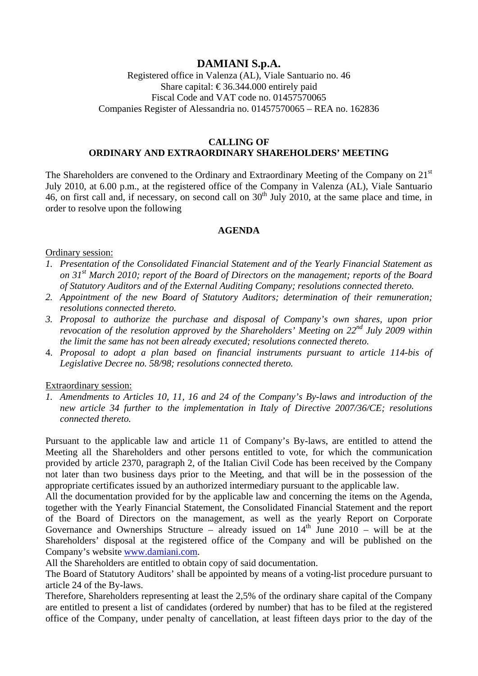# **DAMIANI S.p.A.**

Registered office in Valenza (AL), Viale Santuario no. 46 Share capital:  $\text{\textsterling}36.344.000$  entirely paid Fiscal Code and VAT code no. 01457570065 Companies Register of Alessandria no. 01457570065 – REA no. 162836

## **CALLING OF ORDINARY AND EXTRAORDINARY SHAREHOLDERS' MEETING**

The Shareholders are convened to the Ordinary and Extraordinary Meeting of the Company on  $21<sup>st</sup>$ July 2010, at 6.00 p.m., at the registered office of the Company in Valenza (AL), Viale Santuario 46, on first call and, if necessary, on second call on  $30<sup>th</sup>$  July 2010, at the same place and time, in order to resolve upon the following

### **AGENDA**

#### Ordinary session:

- *1. Presentation of the Consolidated Financial Statement and of the Yearly Financial Statement as on 31st March 2010; report of the Board of Directors on the management; reports of the Board of Statutory Auditors and of the External Auditing Company; resolutions connected thereto.*
- *2. Appointment of the new Board of Statutory Auditors; determination of their remuneration; resolutions connected thereto.*
- *3. Proposal to authorize the purchase and disposal of Company's own shares, upon prior revocation of the resolution approved by the Shareholders' Meeting on 22<sup>nd</sup> July 2009 within the limit the same has not been already executed; resolutions connected thereto.*
- 4. *Proposal to adopt a plan based on financial instruments pursuant to article 114-bis of Legislative Decree no. 58/98; resolutions connected thereto.*

### Extraordinary session:

*1. Amendments to Articles 10, 11, 16 and 24 of the Company's By-laws and introduction of the new article 34 further to the implementation in Italy of Directive 2007/36/CE; resolutions connected thereto.* 

Pursuant to the applicable law and article 11 of Company's By-laws, are entitled to attend the Meeting all the Shareholders and other persons entitled to vote, for which the communication provided by article 2370, paragraph 2, of the Italian Civil Code has been received by the Company not later than two business days prior to the Meeting, and that will be in the possession of the appropriate certificates issued by an authorized intermediary pursuant to the applicable law.

All the documentation provided for by the applicable law and concerning the items on the Agenda, together with the Yearly Financial Statement, the Consolidated Financial Statement and the report of the Board of Directors on the management, as well as the yearly Report on Corporate Governance and Ownerships Structure – already issued on  $14<sup>th</sup>$  June 2010 – will be at the Shareholders' disposal at the registered office of the Company and will be published on the Company's website [www.damiani.com.](http://www.damiani.com/)

All the Shareholders are entitled to obtain copy of said documentation.

The Board of Statutory Auditors' shall be appointed by means of a voting-list procedure pursuant to article 24 of the By-laws.

Therefore, Shareholders representing at least the 2,5% of the ordinary share capital of the Company are entitled to present a list of candidates (ordered by number) that has to be filed at the registered office of the Company, under penalty of cancellation, at least fifteen days prior to the day of the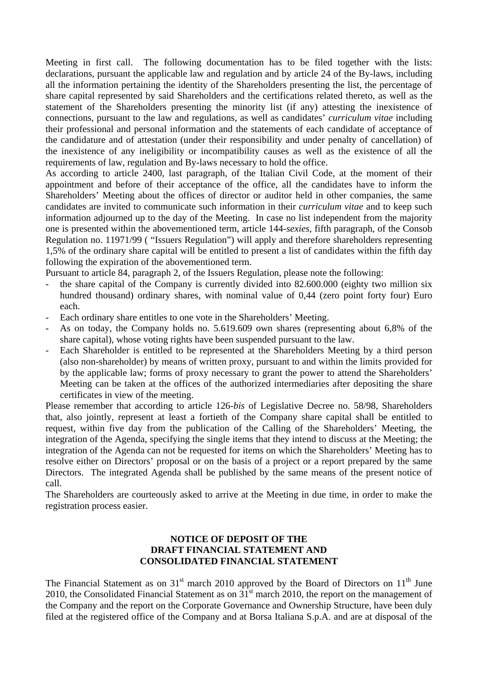Meeting in first call. The following documentation has to be filed together with the lists: declarations, pursuant the applicable law and regulation and by article 24 of the By-laws, including all the information pertaining the identity of the Shareholders presenting the list, the percentage of share capital represented by said Shareholders and the certifications related thereto, as well as the statement of the Shareholders presenting the minority list (if any) attesting the inexistence of connections, pursuant to the law and regulations, as well as candidates' *curriculum vitae* including their professional and personal information and the statements of each candidate of acceptance of the candidature and of attestation (under their responsibility and under penalty of cancellation) of the inexistence of any ineligibility or incompatibility causes as well as the existence of all the requirements of law, regulation and By-laws necessary to hold the office.

As according to article 2400, last paragraph, of the Italian Civil Code, at the moment of their appointment and before of their acceptance of the office, all the candidates have to inform the Shareholders' Meeting about the offices of director or auditor held in other companies, the same candidates are invited to communicate such information in their *curriculum vitae* and to keep such information adjourned up to the day of the Meeting. In case no list independent from the majority one is presented within the abovementioned term, article 144-*sexies*, fifth paragraph, of the Consob Regulation no. 11971/99 ( "Issuers Regulation") will apply and therefore shareholders representing 1,5% of the ordinary share capital will be entitled to present a list of candidates within the fifth day following the expiration of the abovementioned term.

Pursuant to article 84, paragraph 2, of the Issuers Regulation, please note the following:

- the share capital of the Company is currently divided into 82.600.000 (eighty two million six hundred thousand) ordinary shares, with nominal value of 0,44 (zero point forty four) Euro each.
- Each ordinary share entitles to one vote in the Shareholders' Meeting.
- As on today, the Company holds no. 5.619.609 own shares (representing about 6,8% of the share capital), whose voting rights have been suspended pursuant to the law.
- Each Shareholder is entitled to be represented at the Shareholders Meeting by a third person (also non-shareholder) by means of written proxy, pursuant to and within the limits provided for by the applicable law; forms of proxy necessary to grant the power to attend the Shareholders' Meeting can be taken at the offices of the authorized intermediaries after depositing the share certificates in view of the meeting.

Please remember that according to article 126-*bis* of Legislative Decree no. 58/98, Shareholders that, also jointly, represent at least a fortieth of the Company share capital shall be entitled to request, within five day from the publication of the Calling of the Shareholders' Meeting, the integration of the Agenda, specifying the single items that they intend to discuss at the Meeting; the integration of the Agenda can not be requested for items on which the Shareholders' Meeting has to resolve either on Directors' proposal or on the basis of a project or a report prepared by the same Directors. The integrated Agenda shall be published by the same means of the present notice of call.

The Shareholders are courteously asked to arrive at the Meeting in due time, in order to make the registration process easier.

# **NOTICE OF DEPOSIT OF THE DRAFT FINANCIAL STATEMENT AND CONSOLIDATED FINANCIAL STATEMENT**

The Financial Statement as on  $31<sup>st</sup>$  march 2010 approved by the Board of Directors on  $11<sup>th</sup>$  June 2010, the Consolidated Financial Statement as on  $31<sup>st</sup>$  march 2010, the report on the management of the Company and the report on the Corporate Governance and Ownership Structure, have been duly filed at the registered office of the Company and at Borsa Italiana S.p.A. and are at disposal of the